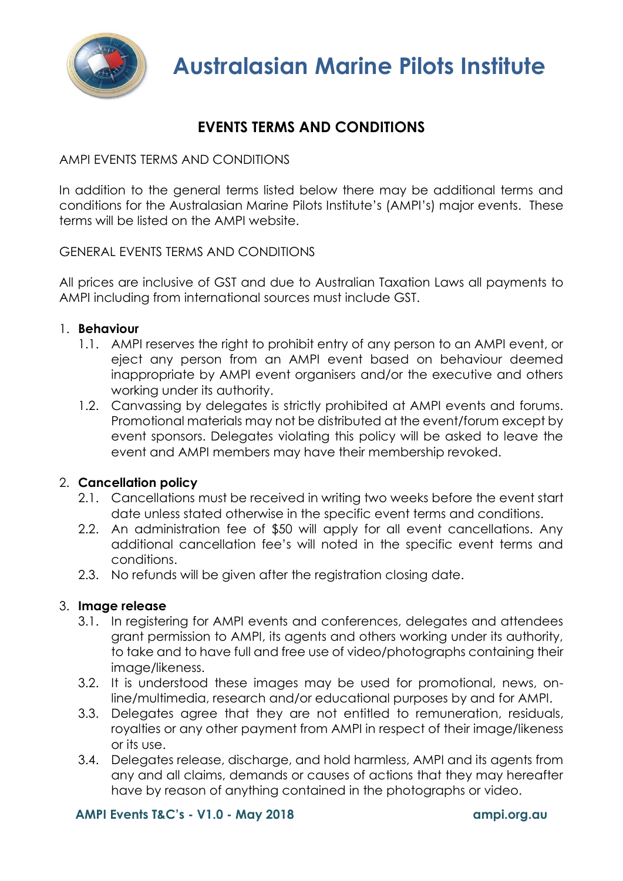

# **EVENTS TERMS AND CONDITIONS**

# AMPI EVENTS TERMS AND CONDITIONS

In addition to the general terms listed below there may be additional terms and conditions for the Australasian Marine Pilots Institute's (AMPI's) major events. These terms will be listed on the AMPI website.

# GENERAL EVENTS TERMS AND CONDITIONS

All prices are inclusive of GST and due to Australian Taxation Laws all payments to AMPI including from international sources must include GST.

# 1. **Behaviour**

- 1.1. AMPI reserves the right to prohibit entry of any person to an AMPI event, or eject any person from an AMPI event based on behaviour deemed inappropriate by AMPI event organisers and/or the executive and others working under its authority.
- 1.2. Canvassing by delegates is strictly prohibited at AMPI events and forums. Promotional materials may not be distributed at the event/forum except by event sponsors. Delegates violating this policy will be asked to leave the event and AMPI members may have their membership revoked.

# 2. **Cancellation policy**

- 2.1. Cancellations must be received in writing two weeks before the event start date unless stated otherwise in the specific event terms and conditions.
- 2.2. An administration fee of \$50 will apply for all event cancellations. Any additional cancellation fee's will noted in the specific event terms and conditions.
- 2.3. No refunds will be given after the registration closing date.

# 3. **Image release**

- 3.1. In registering for AMPI events and conferences, delegates and attendees grant permission to AMPI, its agents and others working under its authority, to take and to have full and free use of video/photographs containing their image/likeness.
- 3.2. It is understood these images may be used for promotional, news, online/multimedia, research and/or educational purposes by and for AMPI.
- 3.3. Delegates agree that they are not entitled to remuneration, residuals, royalties or any other payment from AMPI in respect of their image/likeness or its use.
- 3.4. Delegates release, discharge, and hold harmless, AMPI and its agents from any and all claims, demands or causes of actions that they may hereafter have by reason of anything contained in the photographs or video.

# **AMPI Events T&C's - V1.0 - May 2018 ampi.org.au**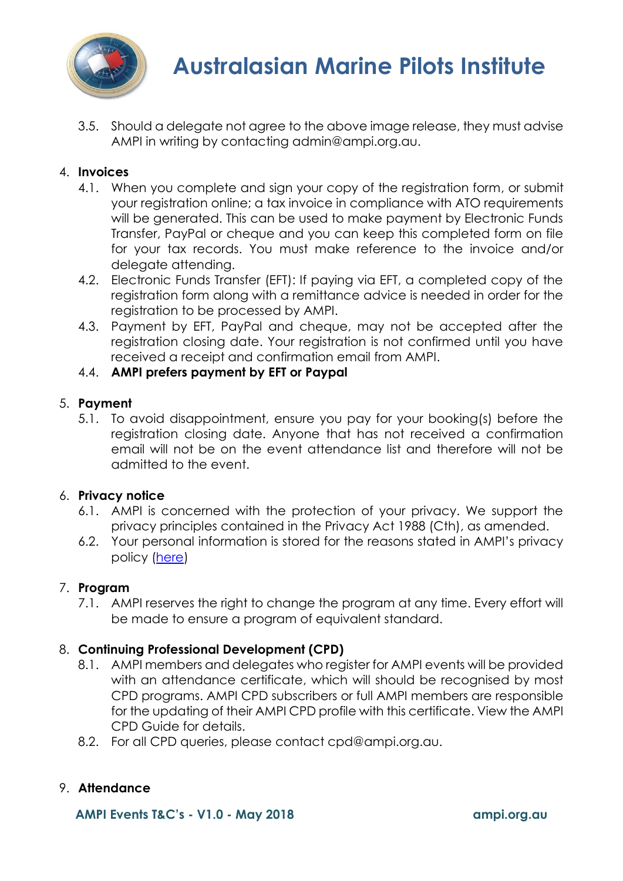

3.5. Should a delegate not agree to the above image release, they must advise AMPI in writing by contacting admin@ampi.org.au.

# 4. **Invoices**

- 4.1. When you complete and sign your copy of the registration form, or submit your registration online; a tax invoice in compliance with ATO requirements will be generated. This can be used to make payment by Electronic Funds Transfer, PayPal or cheque and you can keep this completed form on file for your tax records. You must make reference to the invoice and/or delegate attending.
- 4.2. Electronic Funds Transfer (EFT): If paying via EFT, a completed copy of the registration form along with a remittance advice is needed in order for the registration to be processed by AMPI.
- 4.3. Payment by EFT, PayPal and cheque, may not be accepted after the registration closing date. Your registration is not confirmed until you have received a receipt and confirmation email from AMPI.

# 4.4. **AMPI prefers payment by EFT or Paypal**

# 5. **Payment**

5.1. To avoid disappointment, ensure you pay for your booking(s) before the registration closing date. Anyone that has not received a confirmation email will not be on the event attendance list and therefore will not be admitted to the event.

# 6. **Privacy notice**

- 6.1. AMPI is concerned with the protection of your privacy. We support the privacy principles contained in the Privacy Act 1988 (Cth), as amended.
- 6.2. Your personal information is stored for the reasons stated in AMPI's privacy policy [\(here\)](https://www.ampi.org.au/privacy)

# 7. **Program**

7.1. AMPI reserves the right to change the program at any time. Every effort will be made to ensure a program of equivalent standard.

# 8. **Continuing Professional Development (CPD)**

- 8.1. AMPI members and delegates who register for AMPI events will be provided with an attendance certificate, which will should be recognised by most CPD programs. AMPI CPD subscribers or full AMPI members are responsible for the updating of their AMPI CPD profile with this certificate. View the AMPI CPD Guide for details.
- 8.2. For all CPD queries, please contact cpd@ampi.org.au.

# 9. **Attendance**

**AMPI Events T&C's - V1.0 - May 2018 ampi.org.au**